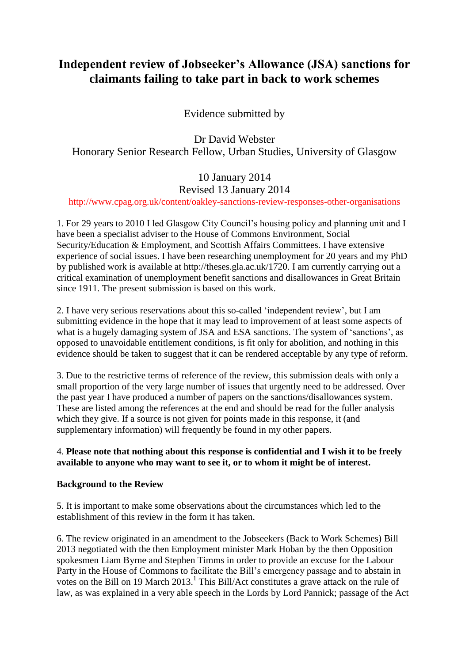# **Independent review of Jobseeker's Allowance (JSA) sanctions for claimants failing to take part in back to work schemes**

Evidence submitted by

Dr David Webster Honorary Senior Research Fellow, Urban Studies, University of Glasgow

# 10 January 2014

# Revised 13 January 2014

http://www.cpag.org.uk/content/oakley-sanctions-review-responses-other-organisations

1. For 29 years to 2010 I led Glasgow City Council's housing policy and planning unit and I have been a specialist adviser to the House of Commons Environment, Social Security/Education & Employment, and Scottish Affairs Committees. I have extensive experience of social issues. I have been researching unemployment for 20 years and my PhD by published work is available at http://theses.gla.ac.uk/1720. I am currently carrying out a critical examination of unemployment benefit sanctions and disallowances in Great Britain since 1911. The present submission is based on this work.

2. I have very serious reservations about this so-called 'independent review', but I am submitting evidence in the hope that it may lead to improvement of at least some aspects of what is a hugely damaging system of JSA and ESA sanctions. The system of 'sanctions', as opposed to unavoidable entitlement conditions, is fit only for abolition, and nothing in this evidence should be taken to suggest that it can be rendered acceptable by any type of reform.

3. Due to the restrictive terms of reference of the review, this submission deals with only a small proportion of the very large number of issues that urgently need to be addressed. Over the past year I have produced a number of papers on the sanctions/disallowances system. These are listed among the references at the end and should be read for the fuller analysis which they give. If a source is not given for points made in this response, it (and supplementary information) will frequently be found in my other papers.

# 4. **Please note that nothing about this response is confidential and I wish it to be freely available to anyone who may want to see it, or to whom it might be of interest.**

# **Background to the Review**

5. It is important to make some observations about the circumstances which led to the establishment of this review in the form it has taken.

6. The review originated in an amendment to the Jobseekers (Back to Work Schemes) Bill 2013 negotiated with the then Employment minister Mark Hoban by the then Opposition spokesmen Liam Byrne and Stephen Timms in order to provide an excuse for the Labour Party in the House of Commons to facilitate the Bill's emergency passage and to abstain in votes on the Bill on 19 March 2013.<sup>1</sup> This Bill/Act constitutes a grave attack on the rule of law, as was explained in a very able speech in the Lords by Lord Pannick; passage of the Act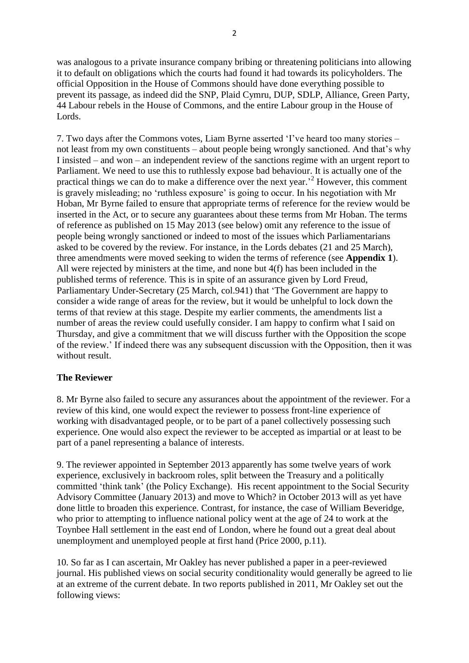was analogous to a private insurance company bribing or threatening politicians into allowing it to default on obligations which the courts had found it had towards its policyholders. The official Opposition in the House of Commons should have done everything possible to prevent its passage, as indeed did the SNP, Plaid Cymru, DUP, SDLP, Alliance, Green Party, 44 Labour rebels in the House of Commons, and the entire Labour group in the House of Lords.

7. Two days after the Commons votes, Liam Byrne asserted 'I've heard too many stories – not least from my own constituents – about people being wrongly sanctioned. And that's why I insisted – and won – an independent review of the sanctions regime with an urgent report to Parliament. We need to use this to ruthlessly expose bad behaviour. It is actually one of the practical things we can do to make a difference over the next year.' <sup>2</sup> However, this comment is gravely misleading; no 'ruthless exposure' is going to occur. In his negotiation with Mr Hoban, Mr Byrne failed to ensure that appropriate terms of reference for the review would be inserted in the Act, or to secure any guarantees about these terms from Mr Hoban. The terms of reference as published on 15 May 2013 (see below) omit any reference to the issue of people being wrongly sanctioned or indeed to most of the issues which Parliamentarians asked to be covered by the review. For instance, in the Lords debates (21 and 25 March), three amendments were moved seeking to widen the terms of reference (see **Appendix 1**). All were rejected by ministers at the time, and none but 4(f) has been included in the published terms of reference. This is in spite of an assurance given by Lord Freud, Parliamentary Under-Secretary (25 March, col.941) that 'The Government are happy to consider a wide range of areas for the review, but it would be unhelpful to lock down the terms of that review at this stage. Despite my earlier comments, the amendments list a number of areas the review could usefully consider. I am happy to confirm what I said on Thursday, and give a commitment that we will discuss further with the Opposition the scope of the review.' If indeed there was any subsequent discussion with the Opposition, then it was without result.

# **The Reviewer**

8. Mr Byrne also failed to secure any assurances about the appointment of the reviewer. For a review of this kind, one would expect the reviewer to possess front-line experience of working with disadvantaged people, or to be part of a panel collectively possessing such experience. One would also expect the reviewer to be accepted as impartial or at least to be part of a panel representing a balance of interests.

9. The reviewer appointed in September 2013 apparently has some twelve years of work experience, exclusively in backroom roles, split between the Treasury and a politically committed 'think tank' (the Policy Exchange). His recent appointment to the Social Security Advisory Committee (January 2013) and move to Which? in October 2013 will as yet have done little to broaden this experience. Contrast, for instance, the case of William Beveridge, who prior to attempting to influence national policy went at the age of 24 to work at the Toynbee Hall settlement in the east end of London, where he found out a great deal about unemployment and unemployed people at first hand (Price 2000, p.11).

10. So far as I can ascertain, Mr Oakley has never published a paper in a peer-reviewed journal. His published views on social security conditionality would generally be agreed to lie at an extreme of the current debate. In two reports published in 2011, Mr Oakley set out the following views: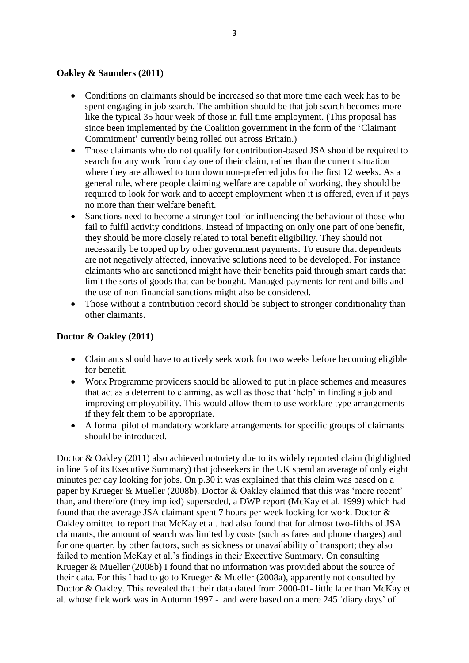#### **Oakley & Saunders (2011)**

- Conditions on claimants should be increased so that more time each week has to be spent engaging in job search. The ambition should be that job search becomes more like the typical 35 hour week of those in full time employment. (This proposal has since been implemented by the Coalition government in the form of the 'Claimant Commitment' currently being rolled out across Britain.)
- Those claimants who do not qualify for contribution-based JSA should be required to search for any work from day one of their claim, rather than the current situation where they are allowed to turn down non-preferred jobs for the first 12 weeks. As a general rule, where people claiming welfare are capable of working, they should be required to look for work and to accept employment when it is offered, even if it pays no more than their welfare benefit.
- Sanctions need to become a stronger tool for influencing the behaviour of those who fail to fulfil activity conditions. Instead of impacting on only one part of one benefit, they should be more closely related to total benefit eligibility. They should not necessarily be topped up by other government payments. To ensure that dependents are not negatively affected, innovative solutions need to be developed. For instance claimants who are sanctioned might have their benefits paid through smart cards that limit the sorts of goods that can be bought. Managed payments for rent and bills and the use of non-financial sanctions might also be considered.
- Those without a contribution record should be subject to stronger conditionality than other claimants.

### **Doctor & Oakley (2011)**

- Claimants should have to actively seek work for two weeks before becoming eligible for benefit.
- Work Programme providers should be allowed to put in place schemes and measures that act as a deterrent to claiming, as well as those that 'help' in finding a job and improving employability. This would allow them to use workfare type arrangements if they felt them to be appropriate.
- A formal pilot of mandatory workfare arrangements for specific groups of claimants should be introduced.

Doctor & Oakley (2011) also achieved notoriety due to its widely reported claim (highlighted in line 5 of its Executive Summary) that jobseekers in the UK spend an average of only eight minutes per day looking for jobs. On p.30 it was explained that this claim was based on a paper by Krueger & Mueller (2008b). Doctor & Oakley claimed that this was 'more recent' than, and therefore (they implied) superseded, a DWP report (McKay et al. 1999) which had found that the average JSA claimant spent 7 hours per week looking for work. Doctor & Oakley omitted to report that McKay et al. had also found that for almost two-fifths of JSA claimants, the amount of search was limited by costs (such as fares and phone charges) and for one quarter, by other factors, such as sickness or unavailability of transport; they also failed to mention McKay et al.'s findings in their Executive Summary. On consulting Krueger & Mueller (2008b) I found that no information was provided about the source of their data. For this I had to go to Krueger & Mueller (2008a), apparently not consulted by Doctor & Oakley. This revealed that their data dated from 2000-01- little later than McKay et al. whose fieldwork was in Autumn 1997 - and were based on a mere 245 'diary days' of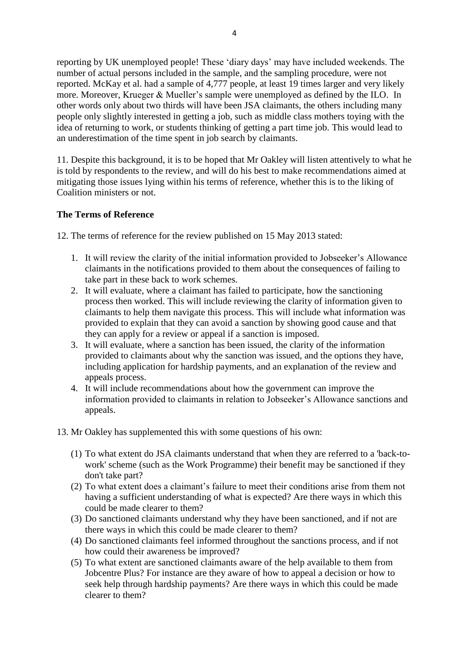reporting by UK unemployed people! These 'diary days' may have included weekends. The number of actual persons included in the sample, and the sampling procedure, were not reported. McKay et al. had a sample of 4,777 people, at least 19 times larger and very likely more. Moreover, Krueger & Mueller's sample were unemployed as defined by the ILO. In other words only about two thirds will have been JSA claimants, the others including many people only slightly interested in getting a job, such as middle class mothers toying with the idea of returning to work, or students thinking of getting a part time job. This would lead to an underestimation of the time spent in job search by claimants.

11. Despite this background, it is to be hoped that Mr Oakley will listen attentively to what he is told by respondents to the review, and will do his best to make recommendations aimed at mitigating those issues lying within his terms of reference, whether this is to the liking of Coalition ministers or not.

## **The Terms of Reference**

12. The terms of reference for the review published on 15 May 2013 stated:

- 1. It will review the clarity of the initial information provided to Jobseeker's Allowance claimants in the notifications provided to them about the consequences of failing to take part in these back to work schemes.
- 2. It will evaluate, where a claimant has failed to participate, how the sanctioning process then worked. This will include reviewing the clarity of information given to claimants to help them navigate this process. This will include what information was provided to explain that they can avoid a sanction by showing good cause and that they can apply for a review or appeal if a sanction is imposed.
- 3. It will evaluate, where a sanction has been issued, the clarity of the information provided to claimants about why the sanction was issued, and the options they have, including application for hardship payments, and an explanation of the review and appeals process.
- 4. It will include recommendations about how the government can improve the information provided to claimants in relation to Jobseeker's Allowance sanctions and appeals.
- 13. Mr Oakley has supplemented this with some questions of his own:
	- (1) To what extent do JSA claimants understand that when they are referred to a 'back-towork' scheme (such as the Work Programme) their benefit may be sanctioned if they don't take part?
	- (2) To what extent does a claimant's failure to meet their conditions arise from them not having a sufficient understanding of what is expected? Are there ways in which this could be made clearer to them?
	- (3) Do sanctioned claimants understand why they have been sanctioned, and if not are there ways in which this could be made clearer to them?
	- (4) Do sanctioned claimants feel informed throughout the sanctions process, and if not how could their awareness be improved?
	- (5) To what extent are sanctioned claimants aware of the help available to them from Jobcentre Plus? For instance are they aware of how to appeal a decision or how to seek help through hardship payments? Are there ways in which this could be made clearer to them?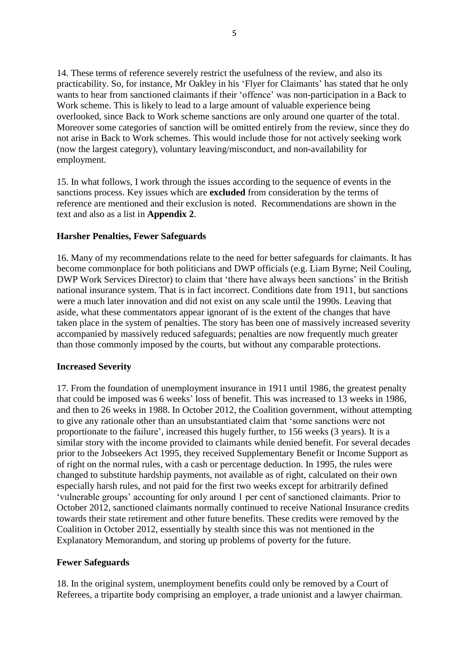14. These terms of reference severely restrict the usefulness of the review, and also its practicability. So, for instance, Mr Oakley in his 'Flyer for Claimants' has stated that he only wants to hear from sanctioned claimants if their 'offence' was non-participation in a Back to Work scheme. This is likely to lead to a large amount of valuable experience being overlooked, since Back to Work scheme sanctions are only around one quarter of the total. Moreover some categories of sanction will be omitted entirely from the review, since they do not arise in Back to Work schemes. This would include those for not actively seeking work (now the largest category), voluntary leaving/misconduct, and non-availability for employment.

15. In what follows, I work through the issues according to the sequence of events in the sanctions process. Key issues which are **excluded** from consideration by the terms of reference are mentioned and their exclusion is noted. Recommendations are shown in the text and also as a list in **Appendix 2**.

#### **Harsher Penalties, Fewer Safeguards**

16. Many of my recommendations relate to the need for better safeguards for claimants. It has become commonplace for both politicians and DWP officials (e.g. Liam Byrne; Neil Couling, DWP Work Services Director) to claim that 'there have always been sanctions' in the British national insurance system. That is in fact incorrect. Conditions date from 1911, but sanctions were a much later innovation and did not exist on any scale until the 1990s. Leaving that aside, what these commentators appear ignorant of is the extent of the changes that have taken place in the system of penalties. The story has been one of massively increased severity accompanied by massively reduced safeguards; penalties are now frequently much greater than those commonly imposed by the courts, but without any comparable protections.

#### **Increased Severity**

17. From the foundation of unemployment insurance in 1911 until 1986, the greatest penalty that could be imposed was 6 weeks' loss of benefit. This was increased to 13 weeks in 1986, and then to 26 weeks in 1988. In October 2012, the Coalition government, without attempting to give any rationale other than an unsubstantiated claim that 'some sanctions were not proportionate to the failure', increased this hugely further, to 156 weeks (3 years). It is a similar story with the income provided to claimants while denied benefit. For several decades prior to the Jobseekers Act 1995, they received Supplementary Benefit or Income Support as of right on the normal rules, with a cash or percentage deduction. In 1995, the rules were changed to substitute hardship payments, not available as of right, calculated on their own especially harsh rules, and not paid for the first two weeks except for arbitrarily defined 'vulnerable groups' accounting for only around 1 per cent of sanctioned claimants. Prior to October 2012, sanctioned claimants normally continued to receive National Insurance credits towards their state retirement and other future benefits. These credits were removed by the Coalition in October 2012, essentially by stealth since this was not mentioned in the Explanatory Memorandum, and storing up problems of poverty for the future.

#### **Fewer Safeguards**

18. In the original system, unemployment benefits could only be removed by a Court of Referees, a tripartite body comprising an employer, a trade unionist and a lawyer chairman.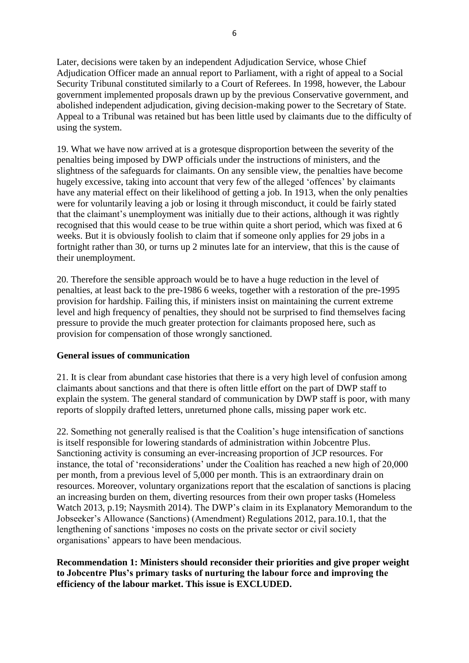Later, decisions were taken by an independent Adjudication Service, whose Chief Adjudication Officer made an annual report to Parliament, with a right of appeal to a Social Security Tribunal constituted similarly to a Court of Referees. In 1998, however, the Labour government implemented proposals drawn up by the previous Conservative government, and abolished independent adjudication, giving decision-making power to the Secretary of State. Appeal to a Tribunal was retained but has been little used by claimants due to the difficulty of using the system.

19. What we have now arrived at is a grotesque disproportion between the severity of the penalties being imposed by DWP officials under the instructions of ministers, and the slightness of the safeguards for claimants. On any sensible view, the penalties have become hugely excessive, taking into account that very few of the alleged 'offences' by claimants have any material effect on their likelihood of getting a job. In 1913, when the only penalties were for voluntarily leaving a job or losing it through misconduct, it could be fairly stated that the claimant's unemployment was initially due to their actions, although it was rightly recognised that this would cease to be true within quite a short period, which was fixed at 6 weeks. But it is obviously foolish to claim that if someone only applies for 29 jobs in a fortnight rather than 30, or turns up 2 minutes late for an interview, that this is the cause of their unemployment.

20. Therefore the sensible approach would be to have a huge reduction in the level of penalties, at least back to the pre-1986 6 weeks, together with a restoration of the pre-1995 provision for hardship. Failing this, if ministers insist on maintaining the current extreme level and high frequency of penalties, they should not be surprised to find themselves facing pressure to provide the much greater protection for claimants proposed here, such as provision for compensation of those wrongly sanctioned.

# **General issues of communication**

21. It is clear from abundant case histories that there is a very high level of confusion among claimants about sanctions and that there is often little effort on the part of DWP staff to explain the system. The general standard of communication by DWP staff is poor, with many reports of sloppily drafted letters, unreturned phone calls, missing paper work etc.

22. Something not generally realised is that the Coalition's huge intensification of sanctions is itself responsible for lowering standards of administration within Jobcentre Plus. Sanctioning activity is consuming an ever-increasing proportion of JCP resources. For instance, the total of 'reconsiderations' under the Coalition has reached a new high of 20,000 per month, from a previous level of 5,000 per month. This is an extraordinary drain on resources. Moreover, voluntary organizations report that the escalation of sanctions is placing an increasing burden on them, diverting resources from their own proper tasks (Homeless Watch 2013, p.19; Naysmith 2014). The DWP's claim in its Explanatory Memorandum to the Jobseeker's Allowance (Sanctions) (Amendment) Regulations 2012, para.10.1, that the lengthening of sanctions 'imposes no costs on the private sector or civil society organisations' appears to have been mendacious.

## **Recommendation 1: Ministers should reconsider their priorities and give proper weight to Jobcentre Plus's primary tasks of nurturing the labour force and improving the efficiency of the labour market. This issue is EXCLUDED.**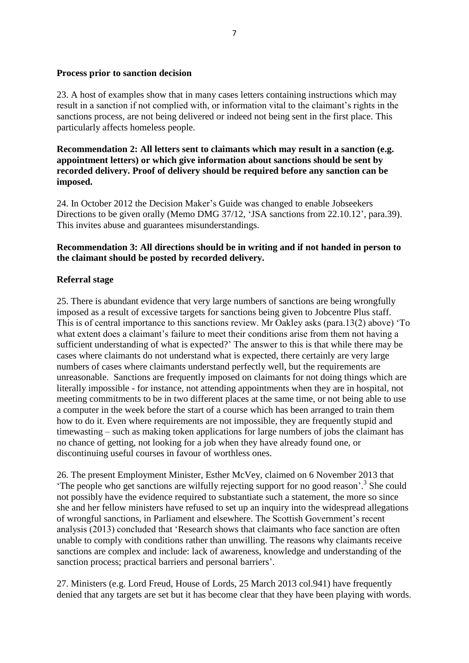#### **Process prior to sanction decision**

23. A host of examples show that in many cases letters containing instructions which may result in a sanction if not complied with, or information vital to the claimant's rights in the sanctions process, are not being delivered or indeed not being sent in the first place. This particularly affects homeless people.

**Recommendation 2: All letters sent to claimants which may result in a sanction (e.g. appointment letters) or which give information about sanctions should be sent by recorded delivery. Proof of delivery should be required before any sanction can be imposed.**

24. In October 2012 the Decision Maker's Guide was changed to enable Jobseekers Directions to be given orally (Memo DMG 37/12, 'JSA sanctions from 22.10.12', para.39). This invites abuse and guarantees misunderstandings.

### **Recommendation 3: All directions should be in writing and if not handed in person to the claimant should be posted by recorded delivery.**

#### **Referral stage**

25. There is abundant evidence that very large numbers of sanctions are being wrongfully imposed as a result of excessive targets for sanctions being given to Jobcentre Plus staff. This is of central importance to this sanctions review. Mr Oakley asks (para.13(2) above) 'To what extent does a claimant's failure to meet their conditions arise from them not having a sufficient understanding of what is expected?' The answer to this is that while there may be cases where claimants do not understand what is expected, there certainly are very large numbers of cases where claimants understand perfectly well, but the requirements are unreasonable. Sanctions are frequently imposed on claimants for not doing things which are literally impossible - for instance, not attending appointments when they are in hospital, not meeting commitments to be in two different places at the same time, or not being able to use a computer in the week before the start of a course which has been arranged to train them how to do it. Even where requirements are not impossible, they are frequently stupid and timewasting – such as making token applications for large numbers of jobs the claimant has no chance of getting, not looking for a job when they have already found one, or discontinuing useful courses in favour of worthless ones.

26. The present Employment Minister, Esther McVey, claimed on 6 November 2013 that 'The people who get sanctions are wilfully rejecting support for no good reason'.<sup>3</sup> She could not possibly have the evidence required to substantiate such a statement, the more so since she and her fellow ministers have refused to set up an inquiry into the widespread allegations of wrongful sanctions, in Parliament and elsewhere. The Scottish Government's recent analysis (2013) concluded that 'Research shows that claimants who face sanction are often unable to comply with conditions rather than unwilling. The reasons why claimants receive sanctions are complex and include: lack of awareness, knowledge and understanding of the sanction process; practical barriers and personal barriers'.

27. Ministers (e.g. Lord Freud, House of Lords, 25 March 2013 col.941) have frequently denied that any targets are set but it has become clear that they have been playing with words.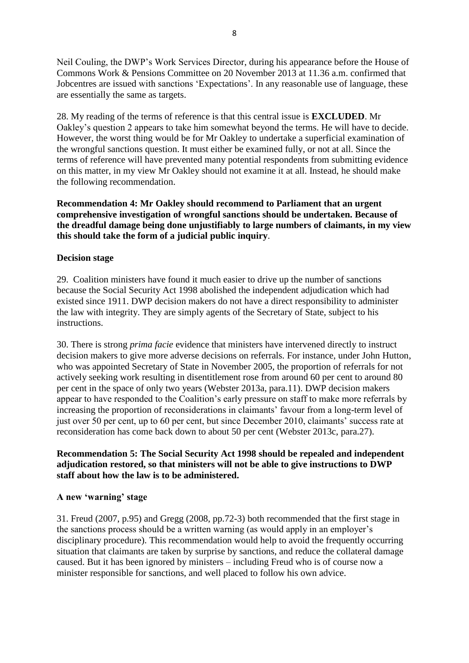Neil Couling, the DWP's Work Services Director, during his appearance before the House of Commons Work & Pensions Committee on 20 November 2013 at 11.36 a.m. confirmed that Jobcentres are issued with sanctions 'Expectations'. In any reasonable use of language, these are essentially the same as targets.

28. My reading of the terms of reference is that this central issue is **EXCLUDED**. Mr Oakley's question 2 appears to take him somewhat beyond the terms. He will have to decide. However, the worst thing would be for Mr Oakley to undertake a superficial examination of the wrongful sanctions question. It must either be examined fully, or not at all. Since the terms of reference will have prevented many potential respondents from submitting evidence on this matter, in my view Mr Oakley should not examine it at all. Instead, he should make the following recommendation.

**Recommendation 4: Mr Oakley should recommend to Parliament that an urgent comprehensive investigation of wrongful sanctions should be undertaken. Because of the dreadful damage being done unjustifiably to large numbers of claimants, in my view this should take the form of a judicial public inquiry**.

#### **Decision stage**

29. Coalition ministers have found it much easier to drive up the number of sanctions because the Social Security Act 1998 abolished the independent adjudication which had existed since 1911. DWP decision makers do not have a direct responsibility to administer the law with integrity. They are simply agents of the Secretary of State, subject to his instructions.

30. There is strong *prima facie* evidence that ministers have intervened directly to instruct decision makers to give more adverse decisions on referrals. For instance, under John Hutton, who was appointed Secretary of State in November 2005, the proportion of referrals for not actively seeking work resulting in disentitlement rose from around 60 per cent to around 80 per cent in the space of only two years (Webster 2013a, para.11). DWP decision makers appear to have responded to the Coalition's early pressure on staff to make more referrals by increasing the proportion of reconsiderations in claimants' favour from a long-term level of just over 50 per cent, up to 60 per cent, but since December 2010, claimants' success rate at reconsideration has come back down to about 50 per cent (Webster 2013c, para.27).

## **Recommendation 5: The Social Security Act 1998 should be repealed and independent adjudication restored, so that ministers will not be able to give instructions to DWP staff about how the law is to be administered.**

#### **A new 'warning' stage**

31. Freud (2007, p.95) and Gregg (2008, pp.72-3) both recommended that the first stage in the sanctions process should be a written warning (as would apply in an employer's disciplinary procedure). This recommendation would help to avoid the frequently occurring situation that claimants are taken by surprise by sanctions, and reduce the collateral damage caused. But it has been ignored by ministers – including Freud who is of course now a minister responsible for sanctions, and well placed to follow his own advice.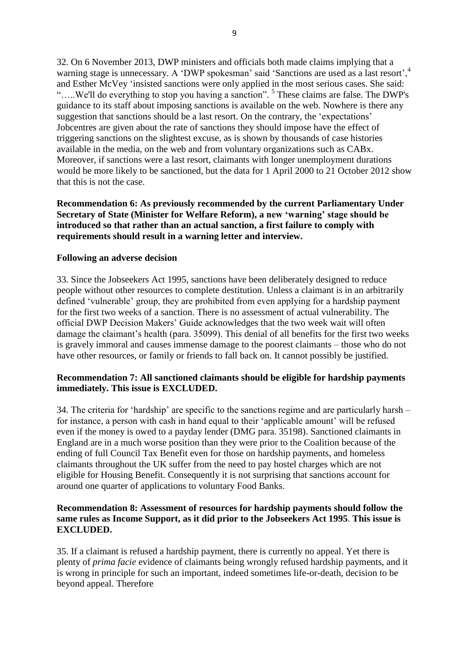32. On 6 November 2013, DWP ministers and officials both made claims implying that a warning stage is unnecessary. A 'DWP spokesman' said 'Sanctions are used as a last resort'.<sup>4</sup> and Esther McVey 'insisted sanctions were only applied in the most serious cases. She said: ".....We'll do everything to stop you having a sanction". <sup>5</sup> These claims are false. The DWP's guidance to its staff about imposing sanctions is available on the web. Nowhere is there any suggestion that sanctions should be a last resort. On the contrary, the 'expectations' Jobcentres are given about the rate of sanctions they should impose have the effect of triggering sanctions on the slightest excuse, as is shown by thousands of case histories available in the media, on the web and from voluntary organizations such as CABx. Moreover, if sanctions were a last resort, claimants with longer unemployment durations would be more likely to be sanctioned, but the data for 1 April 2000 to 21 October 2012 show that this is not the case.

**Recommendation 6: As previously recommended by the current Parliamentary Under Secretary of State (Minister for Welfare Reform), a new 'warning' stage should be introduced so that rather than an actual sanction, a first failure to comply with requirements should result in a warning letter and interview.**

#### **Following an adverse decision**

33. Since the Jobseekers Act 1995, sanctions have been deliberately designed to reduce people without other resources to complete destitution. Unless a claimant is in an arbitrarily defined 'vulnerable' group, they are prohibited from even applying for a hardship payment for the first two weeks of a sanction. There is no assessment of actual vulnerability. The official DWP Decision Makers' Guide acknowledges that the two week wait will often damage the claimant's health (para. 35099). This denial of all benefits for the first two weeks is gravely immoral and causes immense damage to the poorest claimants – those who do not have other resources, or family or friends to fall back on. It cannot possibly be justified.

#### **Recommendation 7: All sanctioned claimants should be eligible for hardship payments immediately. This issue is EXCLUDED.**

34. The criteria for 'hardship' are specific to the sanctions regime and are particularly harsh – for instance, a person with cash in hand equal to their 'applicable amount' will be refused even if the money is owed to a payday lender (DMG para. 35198). Sanctioned claimants in England are in a much worse position than they were prior to the Coalition because of the ending of full Council Tax Benefit even for those on hardship payments, and homeless claimants throughout the UK suffer from the need to pay hostel charges which are not eligible for Housing Benefit. Consequently it is not surprising that sanctions account for around one quarter of applications to voluntary Food Banks.

#### **Recommendation 8: Assessment of resources for hardship payments should follow the same rules as Income Support, as it did prior to the Jobseekers Act 1995**. **This issue is EXCLUDED.**

35. If a claimant is refused a hardship payment, there is currently no appeal. Yet there is plenty of *prima facie* evidence of claimants being wrongly refused hardship payments, and it is wrong in principle for such an important, indeed sometimes life-or-death, decision to be beyond appeal. Therefore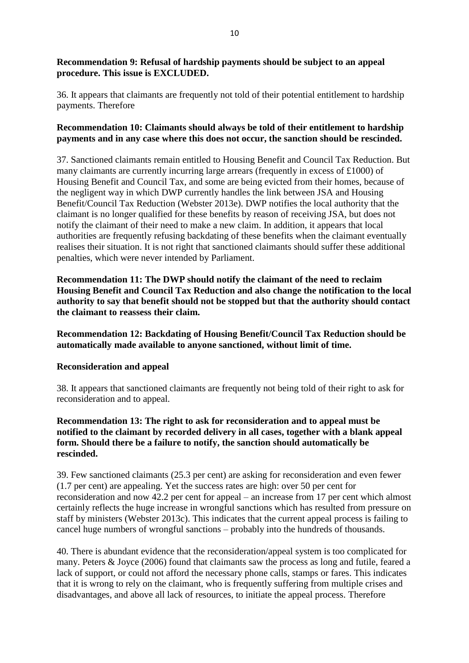## **Recommendation 9: Refusal of hardship payments should be subject to an appeal procedure. This issue is EXCLUDED.**

36. It appears that claimants are frequently not told of their potential entitlement to hardship payments. Therefore

## **Recommendation 10: Claimants should always be told of their entitlement to hardship payments and in any case where this does not occur, the sanction should be rescinded.**

37. Sanctioned claimants remain entitled to Housing Benefit and Council Tax Reduction. But many claimants are currently incurring large arrears (frequently in excess of £1000) of Housing Benefit and Council Tax, and some are being evicted from their homes, because of the negligent way in which DWP currently handles the link between JSA and Housing Benefit/Council Tax Reduction (Webster 2013e). DWP notifies the local authority that the claimant is no longer qualified for these benefits by reason of receiving JSA, but does not notify the claimant of their need to make a new claim. In addition, it appears that local authorities are frequently refusing backdating of these benefits when the claimant eventually realises their situation. It is not right that sanctioned claimants should suffer these additional penalties, which were never intended by Parliament.

**Recommendation 11: The DWP should notify the claimant of the need to reclaim Housing Benefit and Council Tax Reduction and also change the notification to the local authority to say that benefit should not be stopped but that the authority should contact the claimant to reassess their claim.**

**Recommendation 12: Backdating of Housing Benefit/Council Tax Reduction should be automatically made available to anyone sanctioned, without limit of time.** 

#### **Reconsideration and appeal**

38. It appears that sanctioned claimants are frequently not being told of their right to ask for reconsideration and to appeal.

## **Recommendation 13: The right to ask for reconsideration and to appeal must be notified to the claimant by recorded delivery in all cases, together with a blank appeal form. Should there be a failure to notify, the sanction should automatically be rescinded.**

39. Few sanctioned claimants (25.3 per cent) are asking for reconsideration and even fewer (1.7 per cent) are appealing. Yet the success rates are high: over 50 per cent for reconsideration and now 42.2 per cent for appeal – an increase from 17 per cent which almost certainly reflects the huge increase in wrongful sanctions which has resulted from pressure on staff by ministers (Webster 2013c). This indicates that the current appeal process is failing to cancel huge numbers of wrongful sanctions – probably into the hundreds of thousands.

40. There is abundant evidence that the reconsideration/appeal system is too complicated for many. Peters & Joyce (2006) found that claimants saw the process as long and futile, feared a lack of support, or could not afford the necessary phone calls, stamps or fares. This indicates that it is wrong to rely on the claimant, who is frequently suffering from multiple crises and disadvantages, and above all lack of resources, to initiate the appeal process. Therefore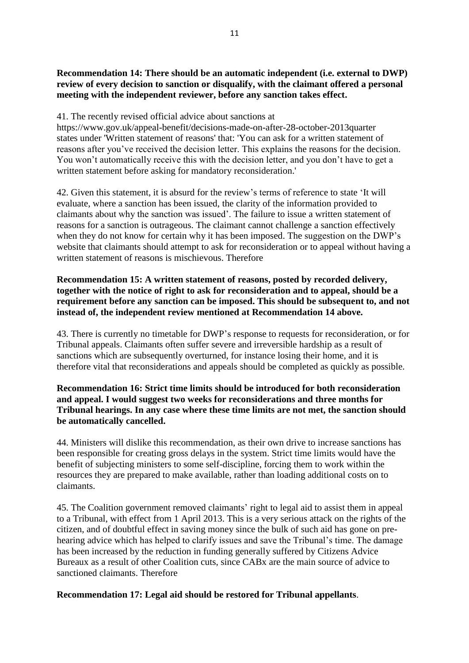## **Recommendation 14: There should be an automatic independent (i.e. external to DWP) review of every decision to sanction or disqualify, with the claimant offered a personal meeting with the independent reviewer, before any sanction takes effect.**

41. The recently revised official advice about sanctions at

https://www.gov.uk/appeal-benefit/decisions-made-on-after-28-october-2013quarter states under 'Written statement of reasons' that: 'You can ask for a written statement of reasons after you've received the decision letter. This explains the reasons for the decision. You won't automatically receive this with the decision letter, and you don't have to get a written statement before asking for mandatory reconsideration.'

42. Given this statement, it is absurd for the review's terms of reference to state 'It will evaluate, where a sanction has been issued, the clarity of the information provided to claimants about why the sanction was issued'. The failure to issue a written statement of reasons for a sanction is outrageous. The claimant cannot challenge a sanction effectively when they do not know for certain why it has been imposed. The suggestion on the DWP's website that claimants should attempt to ask for reconsideration or to appeal without having a written statement of reasons is mischievous. Therefore

## **Recommendation 15: A written statement of reasons, posted by recorded delivery, together with the notice of right to ask for reconsideration and to appeal, should be a requirement before any sanction can be imposed. This should be subsequent to, and not instead of, the independent review mentioned at Recommendation 14 above.**

43. There is currently no timetable for DWP's response to requests for reconsideration, or for Tribunal appeals. Claimants often suffer severe and irreversible hardship as a result of sanctions which are subsequently overturned, for instance losing their home, and it is therefore vital that reconsiderations and appeals should be completed as quickly as possible.

## **Recommendation 16: Strict time limits should be introduced for both reconsideration and appeal. I would suggest two weeks for reconsiderations and three months for Tribunal hearings. In any case where these time limits are not met, the sanction should be automatically cancelled.**

44. Ministers will dislike this recommendation, as their own drive to increase sanctions has been responsible for creating gross delays in the system. Strict time limits would have the benefit of subjecting ministers to some self-discipline, forcing them to work within the resources they are prepared to make available, rather than loading additional costs on to claimants.

45. The Coalition government removed claimants' right to legal aid to assist them in appeal to a Tribunal, with effect from 1 April 2013. This is a very serious attack on the rights of the citizen, and of doubtful effect in saving money since the bulk of such aid has gone on prehearing advice which has helped to clarify issues and save the Tribunal's time. The damage has been increased by the reduction in funding generally suffered by Citizens Advice Bureaux as a result of other Coalition cuts, since CABx are the main source of advice to sanctioned claimants. Therefore

# **Recommendation 17: Legal aid should be restored for Tribunal appellants**.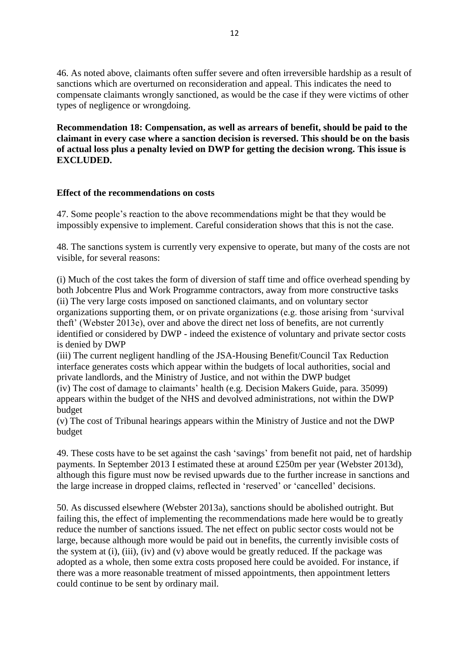46. As noted above, claimants often suffer severe and often irreversible hardship as a result of sanctions which are overturned on reconsideration and appeal. This indicates the need to compensate claimants wrongly sanctioned, as would be the case if they were victims of other types of negligence or wrongdoing.

**Recommendation 18: Compensation, as well as arrears of benefit, should be paid to the claimant in every case where a sanction decision is reversed. This should be on the basis of actual loss plus a penalty levied on DWP for getting the decision wrong. This issue is EXCLUDED.**

## **Effect of the recommendations on costs**

47. Some people's reaction to the above recommendations might be that they would be impossibly expensive to implement. Careful consideration shows that this is not the case.

48. The sanctions system is currently very expensive to operate, but many of the costs are not visible, for several reasons:

(i) Much of the cost takes the form of diversion of staff time and office overhead spending by both Jobcentre Plus and Work Programme contractors, away from more constructive tasks (ii) The very large costs imposed on sanctioned claimants, and on voluntary sector organizations supporting them, or on private organizations (e.g. those arising from 'survival theft' (Webster 2013e), over and above the direct net loss of benefits, are not currently identified or considered by DWP - indeed the existence of voluntary and private sector costs is denied by DWP

(iii) The current negligent handling of the JSA-Housing Benefit/Council Tax Reduction interface generates costs which appear within the budgets of local authorities, social and private landlords, and the Ministry of Justice, and not within the DWP budget (iv) The cost of damage to claimants' health (e.g. Decision Makers Guide, para. 35099) appears within the budget of the NHS and devolved administrations, not within the DWP budget

(v) The cost of Tribunal hearings appears within the Ministry of Justice and not the DWP budget

49. These costs have to be set against the cash 'savings' from benefit not paid, net of hardship payments. In September 2013 I estimated these at around £250m per year (Webster 2013d), although this figure must now be revised upwards due to the further increase in sanctions and the large increase in dropped claims, reflected in 'reserved' or 'cancelled' decisions.

50. As discussed elsewhere (Webster 2013a), sanctions should be abolished outright. But failing this, the effect of implementing the recommendations made here would be to greatly reduce the number of sanctions issued. The net effect on public sector costs would not be large, because although more would be paid out in benefits, the currently invisible costs of the system at (i), (iii), (iv) and (v) above would be greatly reduced. If the package was adopted as a whole, then some extra costs proposed here could be avoided. For instance, if there was a more reasonable treatment of missed appointments, then appointment letters could continue to be sent by ordinary mail.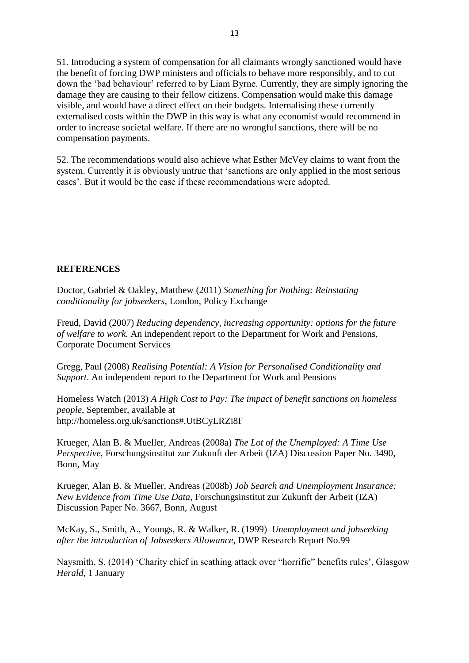51. Introducing a system of compensation for all claimants wrongly sanctioned would have the benefit of forcing DWP ministers and officials to behave more responsibly, and to cut down the 'bad behaviour' referred to by Liam Byrne. Currently, they are simply ignoring the damage they are causing to their fellow citizens. Compensation would make this damage visible, and would have a direct effect on their budgets. Internalising these currently externalised costs within the DWP in this way is what any economist would recommend in order to increase societal welfare. If there are no wrongful sanctions, there will be no compensation payments.

52. The recommendations would also achieve what Esther McVey claims to want from the system. Currently it is obviously untrue that 'sanctions are only applied in the most serious cases'. But it would be the case if these recommendations were adopted.

#### **REFERENCES**

Doctor, Gabriel & Oakley, Matthew (2011) *Something for Nothing: Reinstating conditionality for jobseekers*, London, Policy Exchange

Freud, David (2007) *Reducing dependency, increasing opportunity: options for the future of welfare to work.* An independent report to the Department for Work and Pensions, Corporate Document Services

Gregg, Paul (2008) *Realising Potential: A Vision for Personalised Conditionality and Support*. An independent report to the Department for Work and Pensions

Homeless Watch (2013) *A High Cost to Pay: The impact of benefit sanctions on homeless people*, September, available at http://homeless.org.uk/sanctions#.UtBCyLRZi8F

Krueger, Alan B. & Mueller, Andreas (2008a) *The Lot of the Unemployed: A Time Use Perspective*, Forschungsinstitut zur Zukunft der Arbeit (IZA) Discussion Paper No. 3490, Bonn, May

Krueger, Alan B. & Mueller, Andreas (2008b) *Job Search and Unemployment Insurance: New Evidence from Time Use Data*, Forschungsinstitut zur Zukunft der Arbeit (IZA) Discussion Paper No. 3667, Bonn, August

McKay, S., Smith, A., Youngs, R. & Walker, R. (1999) *Unemployment and jobseeking after the introduction of Jobseekers Allowance*, DWP Research Report No.99

Naysmith, S. (2014) 'Charity chief in scathing attack over "horrific" benefits rules', Glasgow *Herald*, 1 January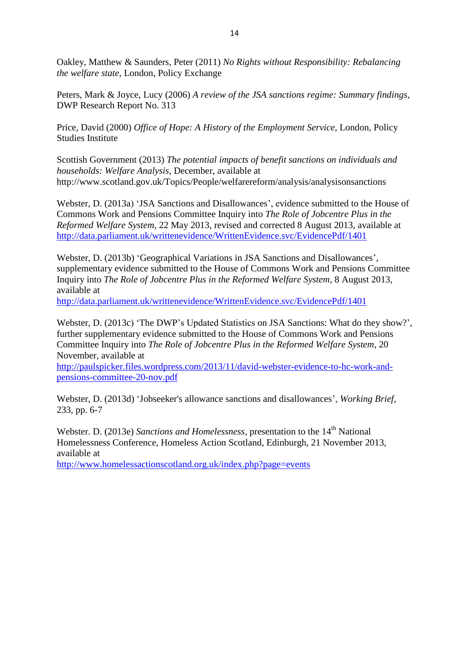Oakley, Matthew & Saunders, Peter (2011) *No Rights without Responsibility: Rebalancing the welfare state*, London, Policy Exchange

Peters, Mark & Joyce, Lucy (2006) *A review of the JSA sanctions regime: Summary findings*, DWP Research Report No. 313

Price, David (2000) *Office of Hope: A History of the Employment Service*, London, Policy Studies Institute

Scottish Government (2013) *The potential impacts of benefit sanctions on individuals and households: Welfare Analysis*, December, available at http://www.scotland.gov.uk/Topics/People/welfarereform/analysis/analysisonsanctions

Webster, D. (2013a) 'JSA Sanctions and Disallowances', evidence submitted to the House of Commons Work and Pensions Committee Inquiry into *The Role of Jobcentre Plus in the Reformed Welfare System*, 22 May 2013, revised and corrected 8 August 2013, available at <http://data.parliament.uk/writtenevidence/WrittenEvidence.svc/EvidencePdf/1401>

Webster, D. (2013b) 'Geographical Variations in JSA Sanctions and Disallowances', supplementary evidence submitted to the House of Commons Work and Pensions Committee Inquiry into *The Role of Jobcentre Plus in the Reformed Welfare System*, 8 August 2013, available at

<http://data.parliament.uk/writtenevidence/WrittenEvidence.svc/EvidencePdf/1401>

Webster, D. (2013c) 'The DWP's Updated Statistics on JSA Sanctions: What do they show?', further supplementary evidence submitted to the House of Commons Work and Pensions Committee Inquiry into *The Role of Jobcentre Plus in the Reformed Welfare System*, 20 November, available at

[http://paulspicker.files.wordpress.com/2013/11/david-webster-evidence-to-hc-work-and](https://legacy.campus.gla.ac.uk/owa/redir.aspx?C=Pw4jdF_dckOHdOMvJnueaiWX-Gu12tBIJ4qvwmQ2Rm1HoO47ymro94XwjfSkIxtTgJe16ZaSi70.&URL=http%3a%2f%2fpaulspicker.files.wordpress.com%2f2013%2f11%2fdavid-webster-evidence-to-hc-work-and-pensions-committee-20-nov.pdf)[pensions-committee-20-nov.pdf](https://legacy.campus.gla.ac.uk/owa/redir.aspx?C=Pw4jdF_dckOHdOMvJnueaiWX-Gu12tBIJ4qvwmQ2Rm1HoO47ymro94XwjfSkIxtTgJe16ZaSi70.&URL=http%3a%2f%2fpaulspicker.files.wordpress.com%2f2013%2f11%2fdavid-webster-evidence-to-hc-work-and-pensions-committee-20-nov.pdf)

Webster, D. (2013d) 'Jobseeker's allowance sanctions and disallowances', *Working Brief*, 233, pp. 6-7

Webster. D. (2013e) *Sanctions and Homelessness*, presentation to the 14<sup>th</sup> National Homelessness Conference, Homeless Action Scotland, Edinburgh, 21 November 2013, available at

<http://www.homelessactionscotland.org.uk/index.php?page=events>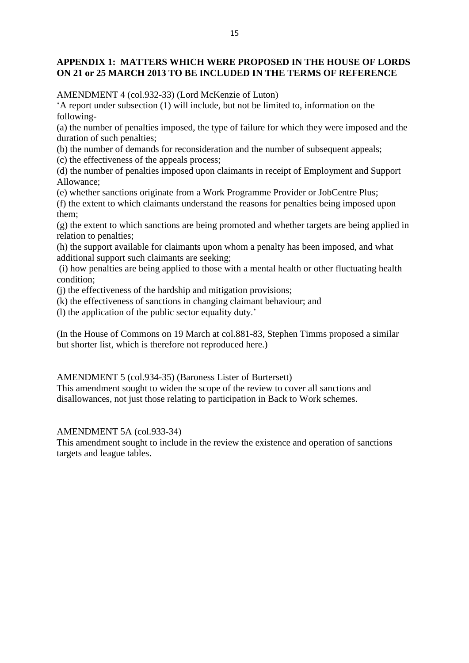### **APPENDIX 1: MATTERS WHICH WERE PROPOSED IN THE HOUSE OF LORDS ON 21 or 25 MARCH 2013 TO BE INCLUDED IN THE TERMS OF REFERENCE**

AMENDMENT 4 (col.932-33) (Lord McKenzie of Luton)

'A report under subsection (1) will include, but not be limited to, information on the following-

(a) the number of penalties imposed, the type of failure for which they were imposed and the duration of such penalties;

(b) the number of demands for reconsideration and the number of subsequent appeals; (c) the effectiveness of the appeals process;

(d) the number of penalties imposed upon claimants in receipt of Employment and Support Allowance;

(e) whether sanctions originate from a Work Programme Provider or JobCentre Plus;

(f) the extent to which claimants understand the reasons for penalties being imposed upon them;

(g) the extent to which sanctions are being promoted and whether targets are being applied in relation to penalties;

(h) the support available for claimants upon whom a penalty has been imposed, and what additional support such claimants are seeking;

(i) how penalties are being applied to those with a mental health or other fluctuating health condition;

(j) the effectiveness of the hardship and mitigation provisions;

(k) the effectiveness of sanctions in changing claimant behaviour; and

(l) the application of the public sector equality duty.'

(In the House of Commons on 19 March at col.881-83, Stephen Timms proposed a similar but shorter list, which is therefore not reproduced here.)

AMENDMENT 5 (col.934-35) (Baroness Lister of Burtersett)

This amendment sought to widen the scope of the review to cover all sanctions and disallowances, not just those relating to participation in Back to Work schemes.

#### AMENDMENT 5A (col.933-34)

This amendment sought to include in the review the existence and operation of sanctions targets and league tables.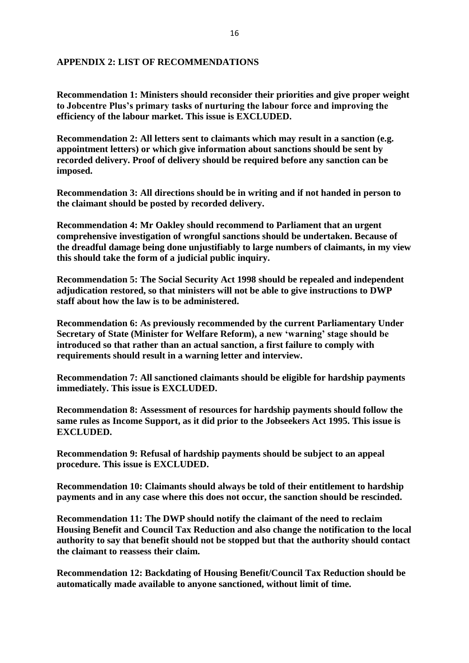#### **APPENDIX 2: LIST OF RECOMMENDATIONS**

**Recommendation 1: Ministers should reconsider their priorities and give proper weight to Jobcentre Plus's primary tasks of nurturing the labour force and improving the efficiency of the labour market. This issue is EXCLUDED.**

**Recommendation 2: All letters sent to claimants which may result in a sanction (e.g. appointment letters) or which give information about sanctions should be sent by recorded delivery. Proof of delivery should be required before any sanction can be imposed.** 

**Recommendation 3: All directions should be in writing and if not handed in person to the claimant should be posted by recorded delivery.**

**Recommendation 4: Mr Oakley should recommend to Parliament that an urgent comprehensive investigation of wrongful sanctions should be undertaken. Because of the dreadful damage being done unjustifiably to large numbers of claimants, in my view this should take the form of a judicial public inquiry.**

**Recommendation 5: The Social Security Act 1998 should be repealed and independent adjudication restored, so that ministers will not be able to give instructions to DWP staff about how the law is to be administered.** 

**Recommendation 6: As previously recommended by the current Parliamentary Under Secretary of State (Minister for Welfare Reform), a new 'warning' stage should be introduced so that rather than an actual sanction, a first failure to comply with requirements should result in a warning letter and interview.**

**Recommendation 7: All sanctioned claimants should be eligible for hardship payments immediately. This issue is EXCLUDED.**

**Recommendation 8: Assessment of resources for hardship payments should follow the same rules as Income Support, as it did prior to the Jobseekers Act 1995. This issue is EXCLUDED.**

**Recommendation 9: Refusal of hardship payments should be subject to an appeal procedure. This issue is EXCLUDED.**

**Recommendation 10: Claimants should always be told of their entitlement to hardship payments and in any case where this does not occur, the sanction should be rescinded.**

**Recommendation 11: The DWP should notify the claimant of the need to reclaim Housing Benefit and Council Tax Reduction and also change the notification to the local authority to say that benefit should not be stopped but that the authority should contact the claimant to reassess their claim.**

**Recommendation 12: Backdating of Housing Benefit/Council Tax Reduction should be automatically made available to anyone sanctioned, without limit of time.**